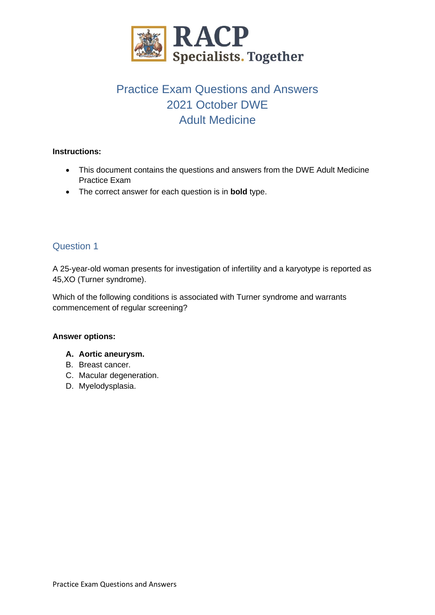

# Practice Exam Questions and Answers 2021 October DWE Adult Medicine

### **Instructions:**

- This document contains the questions and answers from the DWE Adult Medicine Practice Exam
- The correct answer for each question is in **bold** type.

# Question 1

A 25-year-old woman presents for investigation of infertility and a karyotype is reported as 45,XO (Turner syndrome).

Which of the following conditions is associated with Turner syndrome and warrants commencement of regular screening?

#### **Answer options:**

#### **A. Aortic aneurysm.**

- B. Breast cancer.
- C. Macular degeneration.
- D. Myelodysplasia.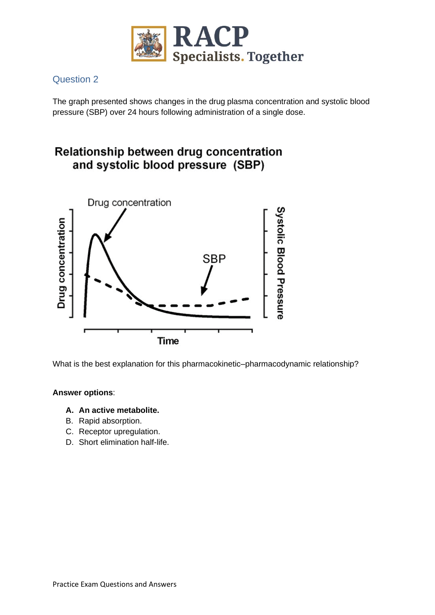

The graph presented shows changes in the drug plasma concentration and systolic blood pressure (SBP) over 24 hours following administration of a single dose.

# Relationship between drug concentration and systolic blood pressure (SBP)



What is the best explanation for this pharmacokinetic–pharmacodynamic relationship?

### **Answer options**:

#### **A. An active metabolite.**

- B. Rapid absorption.
- C. Receptor upregulation.
- D. Short elimination half-life.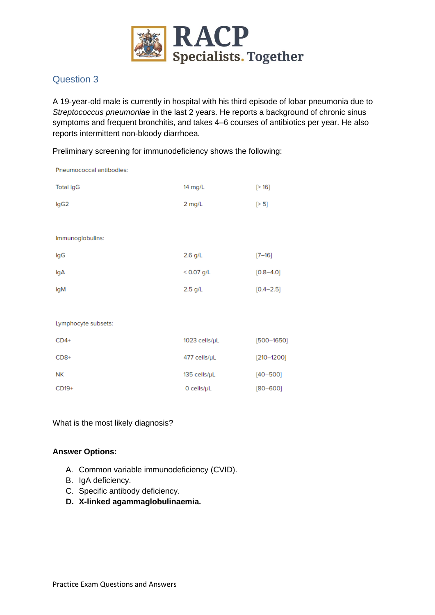

A 19-year-old male is currently in hospital with his third episode of lobar pneumonia due to *Streptococcus pneumoniae* in the last 2 years. He reports a background of chronic sinus symptoms and frequent bronchitis, and takes 4–6 courses of antibiotics per year. He also reports intermittent non-bloody diarrhoea.

Preliminary screening for immunodeficiency shows the following:

| Pneumococcal antibodies: |                    |                |
|--------------------------|--------------------|----------------|
| <b>Total IgG</b>         | 14 mg/L            | [>16]          |
| lgG2                     | 2 mg/L             | [> 5]          |
|                          |                    |                |
| Immunoglobulins:         |                    |                |
| IgG                      | $2.6$ g/L          | $[7 - 16]$     |
| lgA                      | $< 0.07$ g/L       | $[0.8 - 4.0]$  |
| lgM                      | $2.5$ g/L          | $[0.4 - 2.5]$  |
|                          |                    |                |
| Lymphocyte subsets:      |                    |                |
| $CD4+$                   | 1023 cells/µL      | $[500 - 1650]$ |
| $CD8+$                   | 477 cells/µL       | $[210 - 1200]$ |
| <b>NK</b>                | 135 cells/µL       | $[40 - 500]$   |
| CD19+                    | $O$ cells/ $\mu$ L | $[80 - 600]$   |

What is the most likely diagnosis?

- A. Common variable immunodeficiency (CVID).
- B. IgA deficiency.
- C. Specific antibody deficiency.
- **D. X-linked agammaglobulinaemia.**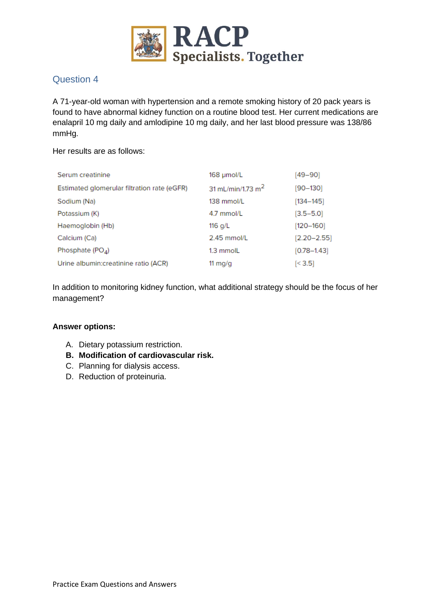

A 71-year-old woman with hypertension and a remote smoking history of 20 pack years is found to have abnormal kidney function on a routine blood test. Her current medications are enalapril 10 mg daily and amlodipine 10 mg daily, and her last blood pressure was 138/86 mmHg.

Her results are as follows:

| Serum creatinine                            | 168 µmol/L                    | [49–90]         |
|---------------------------------------------|-------------------------------|-----------------|
| Estimated glomerular filtration rate (eGFR) | 31 mL/min/1.73 m <sup>2</sup> | $[90 - 130]$    |
| Sodium (Na)                                 | 138 mmol/L                    | $[134 - 145]$   |
| Potassium (K)                               | 4.7 mmol/L                    | $[3.5 - 5.0]$   |
| Haemoglobin (Hb)                            | 116 $q/L$                     | $[120 - 160]$   |
| Calcium (Ca)                                | 2.45 mmol/L                   | $[2.20 - 2.55]$ |
| Phosphate $(POA)$                           | 1.3 mmolL                     | $[0.78 - 1.43]$ |
| Urine albumin: creatinine ratio (ACR)       | 11 $mq/q$                     | [< 3.5]         |

In addition to monitoring kidney function, what additional strategy should be the focus of her management?

- A. Dietary potassium restriction.
- **B. Modification of cardiovascular risk.**
- C. Planning for dialysis access.
- D. Reduction of proteinuria.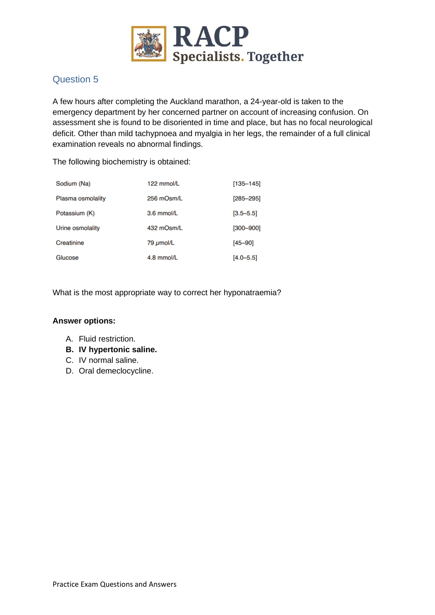

A few hours after completing the Auckland marathon, a 24-year-old is taken to the emergency department by her concerned partner on account of increasing confusion. On assessment she is found to be disoriented in time and place, but has no focal neurological deficit. Other than mild tachypnoea and myalgia in her legs, the remainder of a full clinical examination reveals no abnormal findings.

The following biochemistry is obtained:

| Sodium (Na)       | 122 mmol/L | $[135 - 145]$ |
|-------------------|------------|---------------|
| Plasma osmolality | 256 mOsm/L | $[285 - 295]$ |
| Potassium (K)     | 3.6 mmol/L | $[3.5 - 5.5]$ |
| Urine osmolality  | 432 mOsm/L | $[300 - 900]$ |
| Creatinine        | 79 µmol/L  | $[45 - 90]$   |
| Glucose           | 4.8 mmol/L | $[4.0 - 5.5]$ |

What is the most appropriate way to correct her hyponatraemia?

- A. Fluid restriction.
- **B. IV hypertonic saline.**
- C. IV normal saline.
- D. Oral demeclocycline.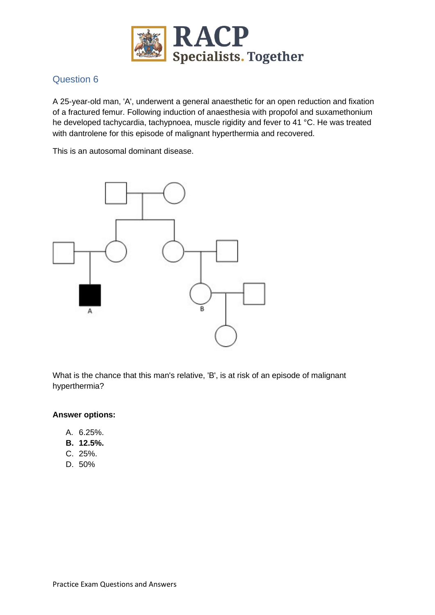

A 25-year-old man, 'A', underwent a general anaesthetic for an open reduction and fixation of a fractured femur. Following induction of anaesthesia with propofol and suxamethonium he developed tachycardia, tachypnoea, muscle rigidity and fever to 41 °C. He was treated with dantrolene for this episode of malignant hyperthermia and recovered.

This is an autosomal dominant disease.



What is the chance that this man's relative, 'B', is at risk of an episode of malignant hyperthermia?

- A. 6.25%.
- **B. 12.5%.**
- C. 25%.
- D. 50%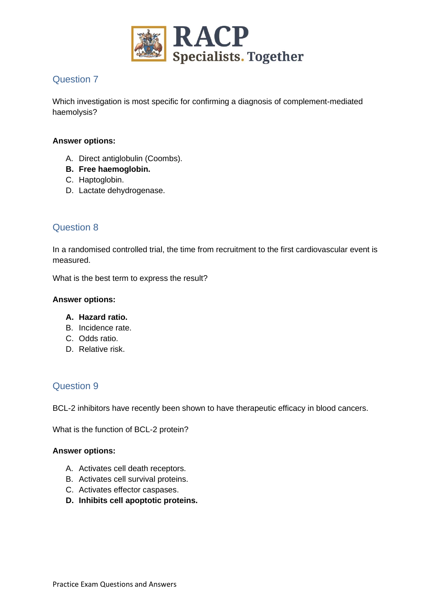

Which investigation is most specific for confirming a diagnosis of complement-mediated haemolysis?

### **Answer options:**

- A. Direct antiglobulin (Coombs).
- **B. Free haemoglobin.**
- C. Haptoglobin.
- D. Lactate dehydrogenase.

# Question 8

In a randomised controlled trial, the time from recruitment to the first cardiovascular event is measured.

What is the best term to express the result?

#### **Answer options:**

#### **A. Hazard ratio.**

- B. Incidence rate.
- C. Odds ratio.
- D. Relative risk.

## Question 9

BCL-2 inhibitors have recently been shown to have therapeutic efficacy in blood cancers.

What is the function of BCL-2 protein?

- A. Activates cell death receptors.
- B. Activates cell survival proteins.
- C. Activates effector caspases.
- **D. Inhibits cell apoptotic proteins.**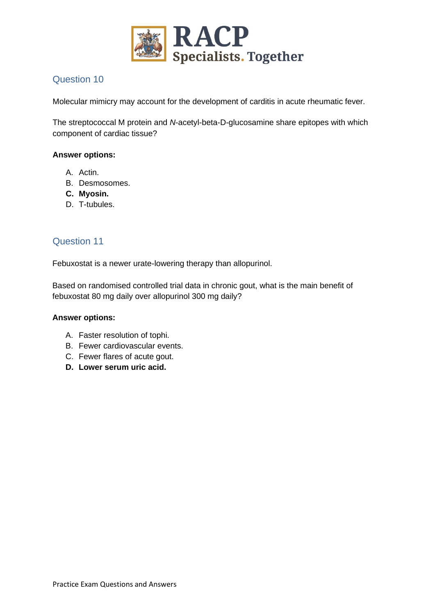

Molecular mimicry may account for the development of carditis in acute rheumatic fever.

The streptococcal M protein and *N*-acetyl-beta-D-glucosamine share epitopes with which component of cardiac tissue?

#### **Answer options:**

- A. Actin.
- B. Desmosomes.
- **C. Myosin.**
- D. T-tubules.

### Question 11

Febuxostat is a newer urate-lowering therapy than allopurinol.

Based on randomised controlled trial data in chronic gout, what is the main benefit of febuxostat 80 mg daily over allopurinol 300 mg daily?

- A. Faster resolution of tophi.
- B. Fewer cardiovascular events.
- C. Fewer flares of acute gout.
- **D. Lower serum uric acid.**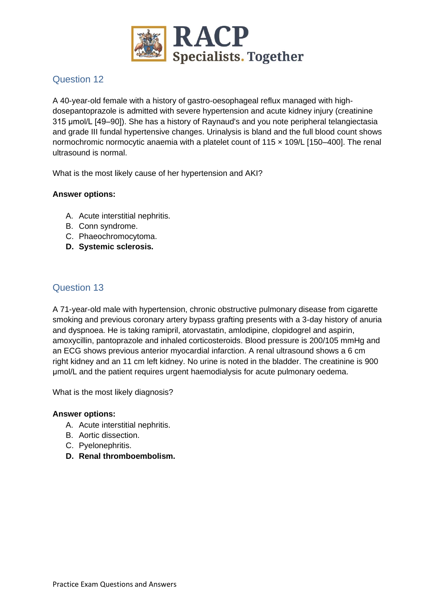

A 40-year-old female with a history of gastro-oesophageal reflux managed with highdosepantoprazole is admitted with severe hypertension and acute kidney injury (creatinine 315 µmol/L [49–90]). She has a history of Raynaud's and you note peripheral telangiectasia and grade III fundal hypertensive changes. Urinalysis is bland and the full blood count shows normochromic normocytic anaemia with a platelet count of  $115 \times 109/L$  [150–400]. The renal ultrasound is normal.

What is the most likely cause of her hypertension and AKI?

### **Answer options:**

- A. Acute interstitial nephritis.
- B. Conn syndrome.
- C. Phaeochromocytoma.
- **D. Systemic sclerosis.**

## Question 13

A 71-year-old male with hypertension, chronic obstructive pulmonary disease from cigarette smoking and previous coronary artery bypass grafting presents with a 3-day history of anuria and dyspnoea. He is taking ramipril, atorvastatin, amlodipine, clopidogrel and aspirin, amoxycillin, pantoprazole and inhaled corticosteroids. Blood pressure is 200/105 mmHg and an ECG shows previous anterior myocardial infarction. A renal ultrasound shows a 6 cm right kidney and an 11 cm left kidney. No urine is noted in the bladder. The creatinine is 900 μmol/L and the patient requires urgent haemodialysis for acute pulmonary oedema.

What is the most likely diagnosis?

- A. Acute interstitial nephritis.
- B. Aortic dissection.
- C. Pyelonephritis.
- **D. Renal thromboembolism.**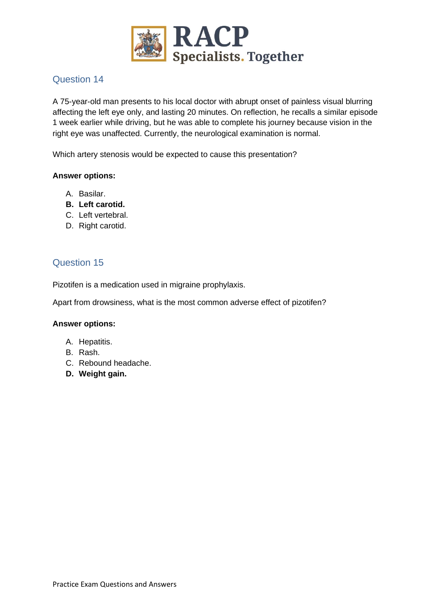

A 75-year-old man presents to his local doctor with abrupt onset of painless visual blurring affecting the left eye only, and lasting 20 minutes. On reflection, he recalls a similar episode 1 week earlier while driving, but he was able to complete his journey because vision in the right eye was unaffected. Currently, the neurological examination is normal.

Which artery stenosis would be expected to cause this presentation?

#### **Answer options:**

- A. Basilar.
- **B. Left carotid.**
- C. Left vertebral.
- D. Right carotid.

# Question 15

Pizotifen is a medication used in migraine prophylaxis.

Apart from drowsiness, what is the most common adverse effect of pizotifen?

- A. Hepatitis.
- B. Rash.
- C. Rebound headache.
- **D. Weight gain.**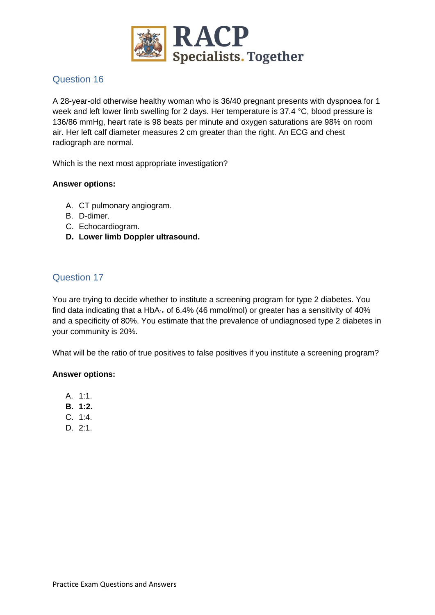

A 28-year-old otherwise healthy woman who is 36/40 pregnant presents with dyspnoea for 1 week and left lower limb swelling for 2 days. Her temperature is 37.4 °C, blood pressure is 136/86 mmHg, heart rate is 98 beats per minute and oxygen saturations are 98% on room air. Her left calf diameter measures 2 cm greater than the right. An ECG and chest radiograph are normal.

Which is the next most appropriate investigation?

### **Answer options:**

- A. CT pulmonary angiogram.
- B. D-dimer.
- C. Echocardiogram.
- **D. Lower limb Doppler ultrasound.**

## Question 17

You are trying to decide whether to institute a screening program for type 2 diabetes. You find data indicating that a HbA<sub>1c</sub> of 6.4% (46 mmol/mol) or greater has a sensitivity of 40% and a specificity of 80%. You estimate that the prevalence of undiagnosed type 2 diabetes in your community is 20%.

What will be the ratio of true positives to false positives if you institute a screening program?

- A. 1:1.
- **B. 1:2.**
- C. 1:4.
- D. 2:1.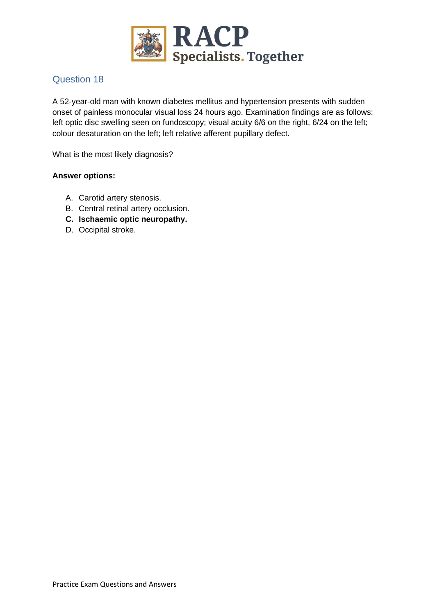

A 52-year-old man with known diabetes mellitus and hypertension presents with sudden onset of painless monocular visual loss 24 hours ago. Examination findings are as follows: left optic disc swelling seen on fundoscopy; visual acuity 6/6 on the right, 6/24 on the left; colour desaturation on the left; left relative afferent pupillary defect.

What is the most likely diagnosis?

- A. Carotid artery stenosis.
- B. Central retinal artery occlusion.
- **C. Ischaemic optic neuropathy.**
- D. Occipital stroke.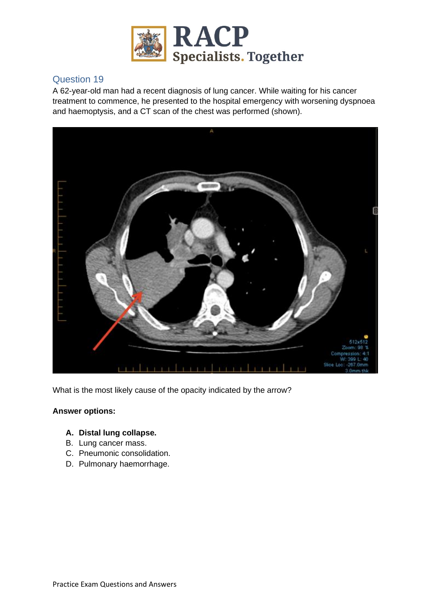

A 62-year-old man had a recent diagnosis of lung cancer. While waiting for his cancer treatment to commence, he presented to the hospital emergency with worsening dyspnoea and haemoptysis, and a CT scan of the chest was performed (shown).



What is the most likely cause of the opacity indicated by the arrow?

#### **Answer options:**

### **A. Distal lung collapse.**

- B. Lung cancer mass.
- C. Pneumonic consolidation.
- D. Pulmonary haemorrhage.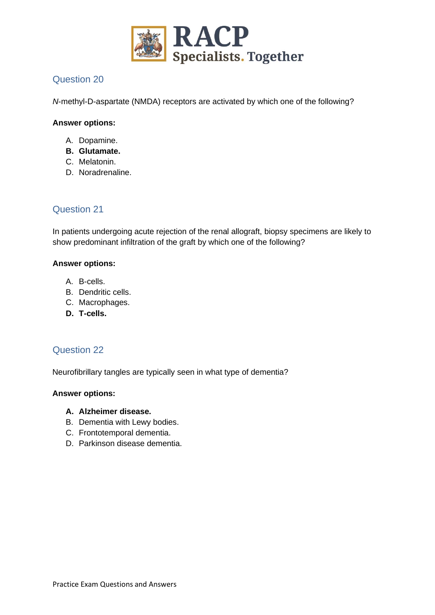

*N*-methyl-D-aspartate (NMDA) receptors are activated by which one of the following?

### **Answer options:**

- A. Dopamine.
- **B. Glutamate.**
- C. Melatonin.
- D. Noradrenaline.

# Question 21

In patients undergoing acute rejection of the renal allograft, biopsy specimens are likely to show predominant infiltration of the graft by which one of the following?

### **Answer options:**

- A. B-cells.
- B. Dendritic cells.
- C. Macrophages.
- **D. T-cells.**

## Question 22

Neurofibrillary tangles are typically seen in what type of dementia?

#### **Answer options:**

#### **A. Alzheimer disease.**

- B. Dementia with Lewy bodies.
- C. Frontotemporal dementia.
- D. Parkinson disease dementia.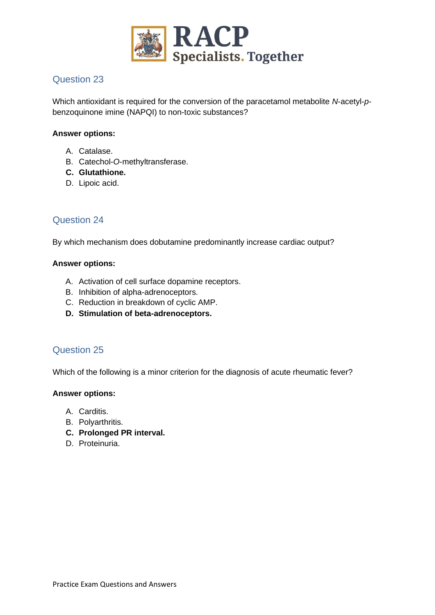

Which antioxidant is required for the conversion of the paracetamol metabolite *N*-acetyl-*p*benzoquinone imine (NAPQI) to non-toxic substances?

### **Answer options:**

- A. Catalase.
- B. Catechol-*O*-methyltransferase.
- **C. Glutathione.**
- D. Lipoic acid.

### Question 24

By which mechanism does dobutamine predominantly increase cardiac output?

#### **Answer options:**

- A. Activation of cell surface dopamine receptors.
- B. Inhibition of alpha-adrenoceptors.
- C. Reduction in breakdown of cyclic AMP.
- **D. Stimulation of beta-adrenoceptors.**

### Question 25

Which of the following is a minor criterion for the diagnosis of acute rheumatic fever?

- A. Carditis.
- B. Polyarthritis.
- **C. Prolonged PR interval.**
- D. Proteinuria.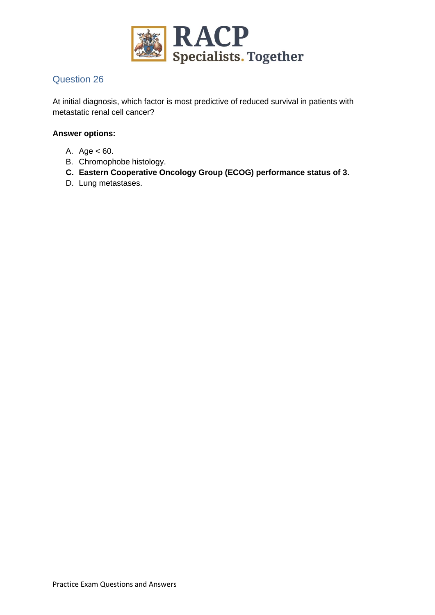

At initial diagnosis, which factor is most predictive of reduced survival in patients with metastatic renal cell cancer?

- A. Age < 60.
- B. Chromophobe histology.
- **C. Eastern Cooperative Oncology Group (ECOG) performance status of 3.**
- D. Lung metastases.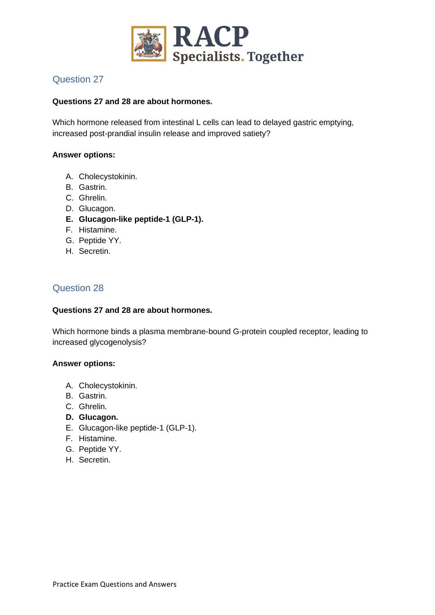

### **Questions 27 and 28 are about hormones.**

Which hormone released from intestinal L cells can lead to delayed gastric emptying, increased post-prandial insulin release and improved satiety?

#### **Answer options:**

- A. Cholecystokinin.
- B. Gastrin.
- C. Ghrelin.
- D. Glucagon.
- **E. Glucagon-like peptide-1 (GLP-1).**
- F. Histamine.
- G. Peptide YY.
- H. Secretin.

## Question 28

### **Questions 27 and 28 are about hormones.**

Which hormone binds a plasma membrane-bound G-protein coupled receptor, leading to increased glycogenolysis?

- A. Cholecystokinin.
- B. Gastrin.
- C. Ghrelin.
- **D. Glucagon.**
- E. Glucagon-like peptide-1 (GLP-1).
- F. Histamine.
- G. Peptide YY.
- H. Secretin.